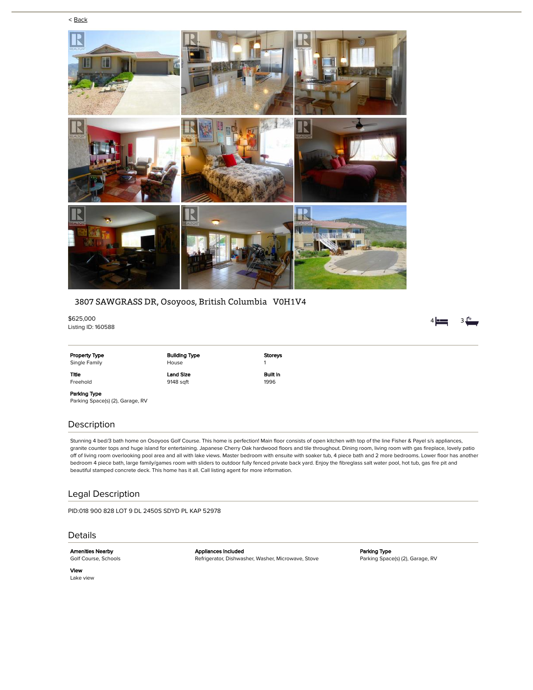



# 3807 SAWGRASS DR, Osoyoos, British Columbia V0H1V4

\$625,000 Listing ID: 160588

Parking Space(s) (2), Garage, RV

## Description

Stunning 4 bed/3 bath home on Osoyoos Golf Course. This home is perfection! Main floor consists of open kitchen with top of the line Fisher & Payel s/s appliances, granite counter tops and huge island for entertaining. Japanese Cherry Oak hardwood floors and tile throughout. Dining room, living room with gas fireplace, lovely patio off of living room overlooking pool area and all with lake views. Master bedroom with ensuite with soaker tub, 4 piece bath and 2 more bedrooms. Lower floor has another bedroom 4 piece bath, large family/games room with sliders to outdoor fully fenced private back yard. Enjoy the fibreglass salt water pool, hot tub, gas fire pit and beautiful stamped concrete deck. This home has it all. Call listing agent for more information.

# Legal Description

PID:018 900 828 LOT 9 DL 2450S SDYD PL KAP 52978

#### Details

Amenities Nearby Golf Course, Schools Appliances Included Refrigerator, Dishwasher, Washer, Microwave, Stove Parking Type Parking Space(s) (2), Garage, RV

View Lake view